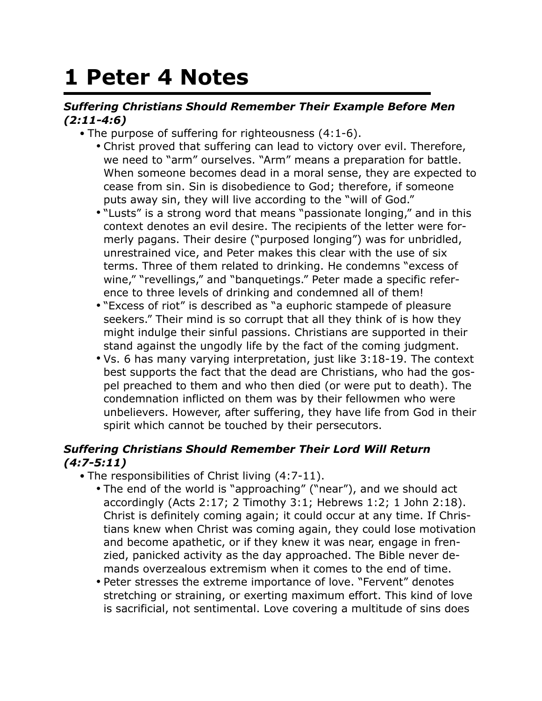## **1 Peter 4 Notes**

## *Suffering Christians Should Remember Their Example Before Men (2:11-4:6)*

- The purpose of suffering for righteousness (4:1-6).
	- Christ proved that suffering can lead to victory over evil. Therefore, we need to "arm" ourselves. "Arm" means a preparation for battle. When someone becomes dead in a moral sense, they are expected to cease from sin. Sin is disobedience to God; therefore, if someone puts away sin, they will live according to the "will of God."
	- "Lusts" is a strong word that means "passionate longing," and in this context denotes an evil desire. The recipients of the letter were formerly pagans. Their desire ("purposed longing") was for unbridled, unrestrained vice, and Peter makes this clear with the use of six terms. Three of them related to drinking. He condemns "excess of wine," "revellings," and "banquetings." Peter made a specific reference to three levels of drinking and condemned all of them!
	- "Excess of riot" is described as "a euphoric stampede of pleasure seekers." Their mind is so corrupt that all they think of is how they might indulge their sinful passions. Christians are supported in their stand against the ungodly life by the fact of the coming judgment.
	- Vs. 6 has many varying interpretation, just like 3:18-19. The context best supports the fact that the dead are Christians, who had the gospel preached to them and who then died (or were put to death). The condemnation inflicted on them was by their fellowmen who were unbelievers. However, after suffering, they have life from God in their spirit which cannot be touched by their persecutors.

## *Suffering Christians Should Remember Their Lord Will Return (4:7-5:11)*

- The responsibilities of Christ living (4:7-11).
	- The end of the world is "approaching" ("near"), and we should act accordingly (Acts 2:17; 2 Timothy 3:1; Hebrews 1:2; 1 John 2:18). Christ is definitely coming again; it could occur at any time. If Christians knew when Christ was coming again, they could lose motivation and become apathetic, or if they knew it was near, engage in frenzied, panicked activity as the day approached. The Bible never demands overzealous extremism when it comes to the end of time.
	- Peter stresses the extreme importance of love. "Fervent" denotes stretching or straining, or exerting maximum effort. This kind of love is sacrificial, not sentimental. Love covering a multitude of sins does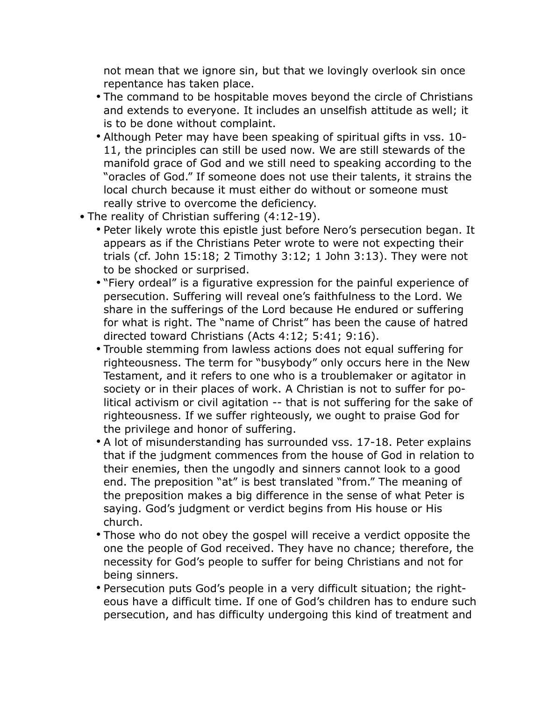not mean that we ignore sin, but that we lovingly overlook sin once repentance has taken place.

- The command to be hospitable moves beyond the circle of Christians and extends to everyone. It includes an unselfish attitude as well; it is to be done without complaint.
- Although Peter may have been speaking of spiritual gifts in vss. 10- 11, the principles can still be used now. We are still stewards of the manifold grace of God and we still need to speaking according to the "oracles of God." If someone does not use their talents, it strains the local church because it must either do without or someone must really strive to overcome the deficiency.
- The reality of Christian suffering (4:12-19).
	- Peter likely wrote this epistle just before Nero's persecution began. It appears as if the Christians Peter wrote to were not expecting their trials (cf. John 15:18; 2 Timothy 3:12; 1 John 3:13). They were not to be shocked or surprised.
	- "Fiery ordeal" is a figurative expression for the painful experience of persecution. Suffering will reveal one's faithfulness to the Lord. We share in the sufferings of the Lord because He endured or suffering for what is right. The "name of Christ" has been the cause of hatred directed toward Christians (Acts 4:12; 5:41; 9:16).
	- Trouble stemming from lawless actions does not equal suffering for righteousness. The term for "busybody" only occurs here in the New Testament, and it refers to one who is a troublemaker or agitator in society or in their places of work. A Christian is not to suffer for political activism or civil agitation -- that is not suffering for the sake of righteousness. If we suffer righteously, we ought to praise God for the privilege and honor of suffering.
	- A lot of misunderstanding has surrounded vss. 17-18. Peter explains that if the judgment commences from the house of God in relation to their enemies, then the ungodly and sinners cannot look to a good end. The preposition "at" is best translated "from." The meaning of the preposition makes a big difference in the sense of what Peter is saying. God's judgment or verdict begins from His house or His church.
	- Those who do not obey the gospel will receive a verdict opposite the one the people of God received. They have no chance; therefore, the necessity for God's people to suffer for being Christians and not for being sinners.
	- Persecution puts God's people in a very difficult situation; the righteous have a difficult time. If one of God's children has to endure such persecution, and has difficulty undergoing this kind of treatment and